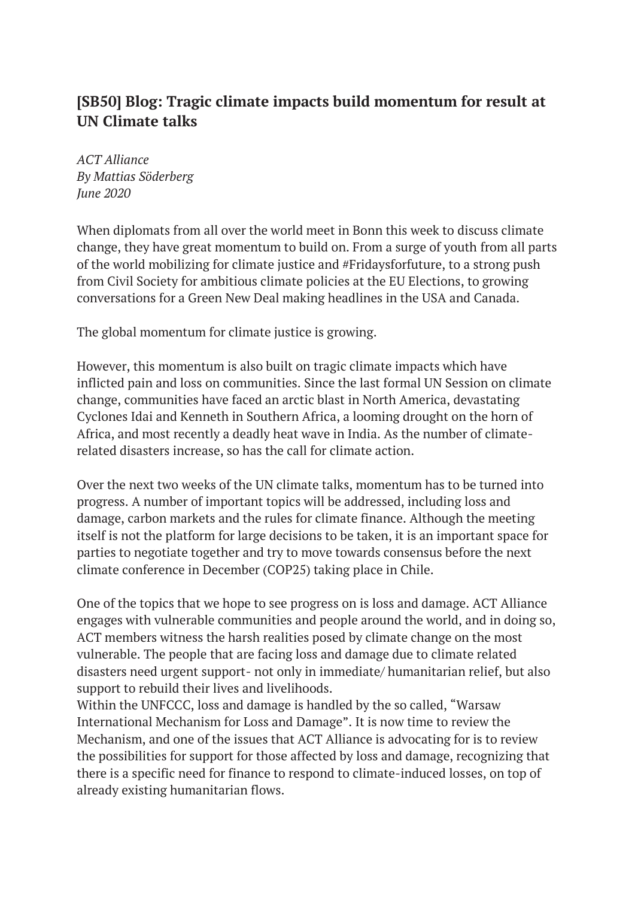## **[SB50] Blog: Tragic climate impacts build momentum for result at UN Climate talks**

*ACT Alliance By Mattias Söderberg June 2020* 

When diplomats from all over the world meet in Bonn this week to discuss climate change, they have great momentum to build on. From a surge of youth from all parts of the world mobilizing for climate justice and #Fridaysforfuture, to a strong push from Civil Society for ambitious climate policies at the EU Elections, to growing conversations for a Green New Deal making headlines in the USA and Canada.

The global momentum for climate justice is growing.

However, this momentum is also built on tragic climate impacts which have inflicted pain and loss on communities. Since the last formal UN Session on climate change, communities have faced an arctic blast in North America, devastating Cyclones Idai and Kenneth in Southern Africa, a looming drought on the horn of Africa, and most recently a deadly heat wave in India. As the number of climaterelated disasters increase, so has the call for climate action.

Over the next two weeks of the UN climate talks, momentum has to be turned into progress. A number of important topics will be addressed, including loss and damage, carbon markets and the rules for climate finance. Although the meeting itself is not the platform for large decisions to be taken, it is an important space for parties to negotiate together and try to move towards consensus before the next climate conference in December (COP25) taking place in Chile.

One of the topics that we hope to see progress on is loss and damage. ACT Alliance engages with vulnerable communities and people around the world, and in doing so, ACT members witness the harsh realities posed by climate change on the most vulnerable. The people that are facing loss and damage due to climate related disasters need urgent support- not only in immediate/ humanitarian relief, but also support to rebuild their lives and livelihoods.

Within the UNFCCC, loss and damage is handled by the so called, "Warsaw International Mechanism for Loss and Damage". It is now time to review the Mechanism, and one of the issues that ACT Alliance is advocating for is to review the possibilities for support for those affected by loss and damage, recognizing that there is a specific need for finance to respond to climate-induced losses, on top of already existing humanitarian flows.